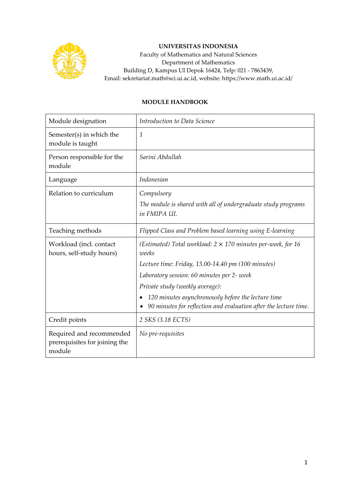

## **UNIVERSITAS INDONESIA**

Faculty of Mathematics and Natural Sciences Department of Mathematics Building D, Kampus UI Depok 16424, Telp: 021 - 7863439, Email: sekretariat.math@sci.ui.ac.id, website: https://www.math.ui.ac.id/

## **MODULE HANDBOOK**

| Module designation                                                  | Introduction to Data Science                                                                                                        |
|---------------------------------------------------------------------|-------------------------------------------------------------------------------------------------------------------------------------|
| Semester(s) in which the<br>module is taught                        | $\mathcal{I}$                                                                                                                       |
| Person responsible for the<br>module                                | Sarini Abdullah                                                                                                                     |
| Language                                                            | Indonesian                                                                                                                          |
| Relation to curriculum                                              | Compulsory                                                                                                                          |
|                                                                     | The module is shared with all of undergraduate study programs<br>in FMIPA UI.                                                       |
| Teaching methods                                                    | Flipped Class and Problem based learning using E-learning                                                                           |
| Workload (incl. contact<br>hours, self-study hours)                 | (Estimated) Total workload: $2 \times 170$ minutes per-week, for 16<br>weeks                                                        |
|                                                                     | Lecture time: Friday, 13.00-14.40 pm (100 minutes)                                                                                  |
|                                                                     | Laboratory session: 60 minutes per 2- week                                                                                          |
|                                                                     | Private study (weekly average):                                                                                                     |
|                                                                     | 120 minutes asynchronously before the lecture time<br>$\bullet$<br>90 minutes for reflection and evaluation after the lecture time. |
| Credit points                                                       | 2 SKS (3.18 ECTS)                                                                                                                   |
| Required and recommended<br>prerequisites for joining the<br>module | No pre-requisites                                                                                                                   |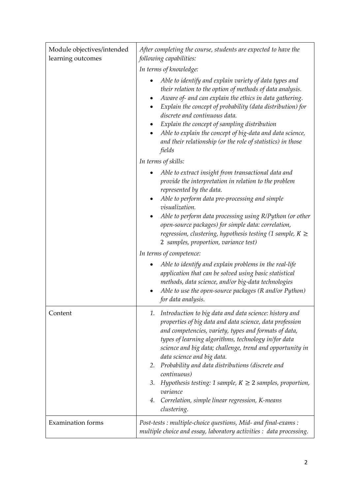| Module objectives/intended<br>learning outcomes | After completing the course, students are expected to have the<br>following capabilities:                                                                                                                                                                                                                                                                                                                                                                                                                                                                               |
|-------------------------------------------------|-------------------------------------------------------------------------------------------------------------------------------------------------------------------------------------------------------------------------------------------------------------------------------------------------------------------------------------------------------------------------------------------------------------------------------------------------------------------------------------------------------------------------------------------------------------------------|
|                                                 | In terms of knowledge:                                                                                                                                                                                                                                                                                                                                                                                                                                                                                                                                                  |
|                                                 | Able to identify and explain variety of data types and<br>$\bullet$<br>their relation to the option of methods of data analysis.<br>Aware of- and can explain the ethics in data gathering.<br>$\bullet$<br>Explain the concept of probability (data distribution) for<br>$\bullet$<br>discrete and continuous data.<br>Explain the concept of sampling distribution<br>$\bullet$<br>Able to explain the concept of big-data and data science,<br>and their relationship (or the role of statistics) in those<br>fields                                                 |
|                                                 | In terms of skills:                                                                                                                                                                                                                                                                                                                                                                                                                                                                                                                                                     |
|                                                 | Able to extract insight from transactional data and<br>provide the interpretation in relation to the problem<br>represented by the data.<br>Able to perform data pre-processing and simple<br>$\bullet$<br>visualization.<br>Able to perform data processing using R/Python (or other<br>open-source packages) for simple data: correlation,<br>regression, clustering, hypothesis testing (1 sample, $K \geq$<br>2 samples, proportion, variance test)                                                                                                                 |
|                                                 | In terms of competence:                                                                                                                                                                                                                                                                                                                                                                                                                                                                                                                                                 |
|                                                 | Able to identify and explain problems in the real-life<br>application that can be solved using basic statistical<br>methods, data science, and/or big-data technologies<br>Able to use the open-source packages (R and/or Python)<br>for data analysis.                                                                                                                                                                                                                                                                                                                 |
| Content                                         | Introduction to big data and data science: history and<br>1.<br>properties of big data and data science, data profession<br>and competencies, variety, types and formats of data,<br>types of learning algorithms, technology in/for data<br>science and big data; challenge, trend and opportunity in<br>data science and big data.<br>Probability and data distributions (discrete and<br>2.<br>continuous)<br>Hypothesis testing: 1 sample, $K \geq 2$ samples, proportion,<br>3.<br>variance<br>Correlation, simple linear regression, K-means<br>4.<br>clustering. |
| <b>Examination</b> forms                        | Post-tests: multiple-choice questions, Mid- and final-exams:<br>multiple choice and essay, laboratory activities : data processing.                                                                                                                                                                                                                                                                                                                                                                                                                                     |